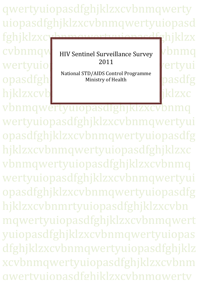qwertyuiopasdfghjklzxcvbnmqwerty uiopasdfghjklzxcvbnmqwertyuiopasd fghjklzxcvbnmqwertyuiopasdfghjklzx cvbnmqw HIV Sentinel Surveillance Survey Vbnmq wertyuiophaseksuuriopastelt vertyui opasdfghi Ministry of Health pasdfg hjklzxcvb**ithetyuiopasta diklzyc**hiklzxc 2011 National STD/AIDS Control Programme Ministry of Health

vbnmqwertyuiopasdfghjklzxcvbi wertyuiopasdfghjklzxcvbnmqwertyui opasdfghjklzxcvbnmqwertyuiopasdfg hjklzxcvbnmqwertyuiopasdfghjklzxc vbnmqwertyuiopasdfghjklzxcvbnmq wertyuiopasdfghjklzxcvbnmqwertyui opasdfghjklzxcvbnmqwertyuiopasdfg hjklzxcvbnmrtyuiopasdfghjklzxcvbn mqwertyuiopasdfghjklzxcvbnmqwert yuiopasdfghjklzxcvbnmqwertyuiopas dfghjklzxcvbnmqwertyuiopasdfghjklz xcvbnmqwertyuiopasdfghjklzxcvbnm qwertyuiopasdfghjklzxcvbnmqwerty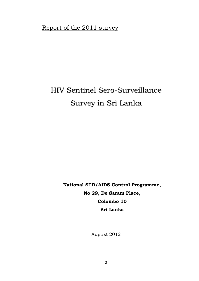Report of the 2011 survey

# HIV Sentinel Sero-Surveillance Survey in Sri Lanka

**National STD/AIDS Control Programme, No 29, De Saram Place, Colombo 10 Sri Lanka**

August 2012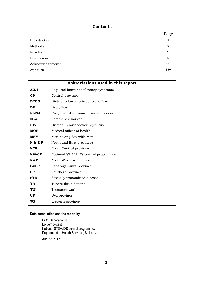| Contents         |            |
|------------------|------------|
|                  | Page       |
| Introduction     |            |
| Methods          | 2          |
| Results          | 9          |
| Discussion       | 18         |
| Acknowledgements | 20         |
| Annexes          | $i$ - $iv$ |

|              | Abbreviations used in this report     |
|--------------|---------------------------------------|
| <b>AIDS</b>  | Acquired immunodeficiency syndrome    |
| CP           | Central province                      |
| <b>DTCO</b>  | District tuberculosis control officer |
| <b>DU</b>    | Drug User                             |
| <b>ELISA</b> | Enzyme-linked immunosorbent assay     |
| <b>FSW</b>   | Female sex worker                     |
| <b>HIV</b>   | Human immunodeficiency virus          |
| <b>MOH</b>   | Medical officer of health             |
| <b>MSM</b>   | Men having Sex with Men               |
| N & E P      | North and East provinces              |
| <b>NCP</b>   | North Central province                |
| <b>NSACP</b> | National STD/AIDS control programme   |
| <b>NWP</b>   | North Western province                |
| Sab P        | Sabaragamuwa province                 |
| <b>SP</b>    | Southern province                     |
| <b>STD</b>   | Sexually transmitted disease          |
| <b>TB</b>    | Tuberculosis patient                  |
| TW           | Transport worker                      |
| <b>UP</b>    | Uva province                          |
| <b>WP</b>    | Western province                      |

# **Data compilation and the report by**

Dr S. Benaragama, Epidemiologist, National STD/AIDS control programme, Department of Health Services, Sri Lanka

August 2012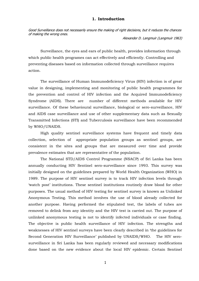#### **1. Introduction**

Good Surveillance does not necessarily ensure the making of right decisions, but it reduces the chances of making the wrong ones.

Alexander D. Langmuir (Langmuir 1963)

Surveillance, the eyes and ears of public health, provides information through which public health programes can act effectively and efficiently. Controlling and preventing diseases based on information collected through surveillance requires action.

The surveillance of Human Immunodeficiency Virus (HIV) infection is of great value in designing, implementing and monitoring of public health programmes for the prevention and control of HIV infection and the Acquired Immunodeficiency Syndrome (AIDS). There are number of different methods available for HIV surveillance. Of these behavioural surveillance, biological or sero-surveillance, HIV and AIDS case surveillance and use of other supplementary data such as Sexually Transmitted Infections (STI) and Tuberculosis surveillance have been recommended by WHO/UNAIDS.

High quality sentinel surveillance systems have frequent and timely data collection, selection of appropriate population groups as sentinel groups, are consistent in the sites and groups that are measured over time and provide prevalence estimates that are representative of the population.

The National STD/AIDS Control Programme (NSACP) of Sri Lanka has been annually conducting HIV Sentinel sero-surveillance since 1993. This survey was initially designed on the guidelines prepared by World Health Organization (WHO) in 1989. The purpose of HIV sentinel survey is to track HIV infection levels through 'watch post' institutions. These sentinel institutions routinely draw blood for other purposes. The usual method of HIV testing for sentinel survey is known as Unlinked Anonymous Testing. This method involves the use of blood already collected for another purpose. Having performed the stipulated test, the labels of tubes are removed to delink from any identity and the HIV test is carried out. The purpose of unlinked anonymous testing is not to identify infected individuals or case finding. The objective is public health surveillance of HIV infection. The strengths and weaknesses of HIV sentinel surveys have been clearly described in 'the guidelines for Second Generation HIV Surveillance' published by UNAIDS/WHO. The HIV serosurveillance in Sri Lanka has been regularly reviewed and necessary modifications done based on the new evidence about the local HIV epidemic. Certain Sentinel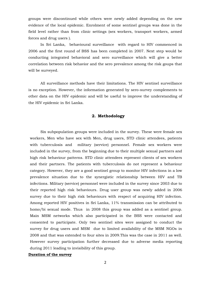groups were discontinued while others were newly added depending on the new evidence of the local epidemic. Enrolment of some sentinel groups was done in the field level rather than from clinic settings (sex workers, transport workers, armed forces and drug users ).

In Sri Lanka, behavioural surveillance with regard to HIV commenced in 2006 and the first round of BSS has been completed in 2007. Next step would be conducting integrated behavioral and sero surveillance which will give a better correlation between risk behavior and the sero prevalence among the risk goups that will be surveyed.

All surveillance methods have their limitations. The HIV sentinel surveillance is no exception. However, the information generated by sero-survey complements to other data on the HIV epidemic and will be useful to improve the understanding of the HIV epidemic in Sri Lanka.

## **2. Methodology**

Six subpopulation groups were included in the survey. These were female sex workers, Men who have sex with Men, drug users, STD clinic attendees, patients with tuberculosis and military (service) personnel. Female sex workers were included in the survey, from the beginning due to their multiple sexual partners and high risk behaviour patterns. STD clinic attendees represent clients of sex workers and their partners. The patients with tuberculosis do not represent a behaviour category. However, they are a good sentinel group to monitor HIV infections in a low prevalence situation due to the synergistic relationship between HIV and TB infections. Military (service) personnel were included in the survey since 2003 due to their reported high risk behaviours. Drug user group was newly added in 2006 survey due to their high risk behaviours with respect of acquiring HIV infection. Among reported HIV positives in Sri Lanka, 11% transmission can be attributed to homo/bi sexual mode. Thus in 2008 this group was added as a sentinel group. Main MSM networks which also participated in the BSS were contacted and consented to participate. Only two sentinel sites were assigned to conduct the survey for drug users and MSM due to limited availability of the MSM NGOs in 2008 and that was extended to four sites in 2009.This was the case in 2011 as well. However survey participation further decreased due to adverse media reporting during 2011 leading to invisibility of this group.

## **Duration of the survey**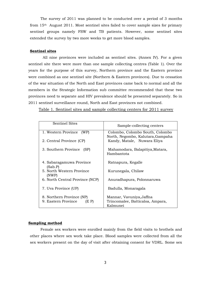The survey of 2011 was planned to be conducted over a period of 3 months from 15th August 2011. Most sentinel sites failed to cover sample sizes for primary sentinel groups namely FSW and TB patients. However, some sentinel sites extended the survey by two more weeks to get more blood samples.

#### **Sentinel sites**

 All nine provinces were included as sentinel sites. (Annex IV). For a given sentinel site there were more than one sample collecting centres (Table 1). Over the years for the purpose of this survey, Northern province and the Eastern province were combined as one sentinel site (Northern & Eastern provinces). Due to cessation of the war situation of the North and East provinces came back to normal and all the members in the Strategic Information sub committee recommended that these two provinces need to separate and HIV prevalence should be presented separately. So in 2011 sentinel surveillance round, North and East provinces not combined.

Table 1. Sentinel sites and sample collecting centers for 2011 survey

| <b>Sentinel Sites</b>                                     | Sample-collecting centers                                                |
|-----------------------------------------------------------|--------------------------------------------------------------------------|
| 1. Western Province (WP)                                  | Colombo, Colombo South, Colombo                                          |
| 2. Central Province (CP)                                  | North, Negombo, Kalutara, Gampaha<br>Kandy, Matale, Nuwara Eliya         |
| 3. Southern Province (SP)                                 | Mahamodara, Balapitiya, Matara,<br>Hambantota                            |
| 4. Sabaragamuwa Province<br>(Sab.P)                       | Ratnapura, Kegalle                                                       |
| 5. North Western Province<br>(NWP)                        | Kurunegala, Chilaw                                                       |
| 6. North Central Province (NCP)                           | Anuradhapura, Polonnaruwa                                                |
| 7. Uva Province (UP)                                      | Badulla, Monaragala                                                      |
| 8. Northern Province (NP)<br>9. Eastern Province<br>(E P) | Mannar, Vavuniya, Jaffna<br>Trincomalee, Batticaloa, Ampara,<br>Kalmunei |

#### **Sampling method**

Female sex workers were enrolled mainly from the field visits to brothels and other places where sex work take place. Blood samples were collected from all the sex workers present on the day of visit after obtaining consent for VDRL. Some sex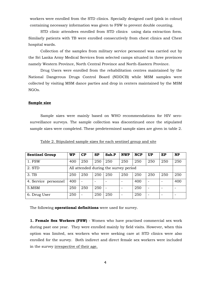workers were enrolled from the STD clinics. Specially designed card (pink in colour) containing necessary information was given to FSW to prevent double counting.

STD clinic attendees enrolled from STD clinics using data extraction form. Similarly patients with TB were enrolled consecutively from chest clinics and Chest hospital wards.

Collection of the samples from military service personnel was carried out by the Sri Lanka Army Medical Services from selected camps situated in three provinces namely Western Province, North Central Province and North-Eastern Province.

Drug Users were enrolled from the rehabilitation centres maintained by the National Dangerous Drugs Control Board (NDDCB) while MSM samples were collected by visiting MSM dance parties and drop in centers maintained by the MSM NGOs.

#### **Sample size**

Sample sizes were mainly based on WHO recommendations for HIV serosurveillance surveys. The sample collection was discontinued once the stipulated sample sizes were completed. These predetermined sample sizes are given in table 2.

| <b>Sentinel Group</b> | <b>WP</b> | CP                       | <b>SP</b> | Sab.P                                 | <b>NWP</b> | <b>NCP</b> | <b>UP</b> | EP  | <b>NP</b> |
|-----------------------|-----------|--------------------------|-----------|---------------------------------------|------------|------------|-----------|-----|-----------|
| 1. FSW                | 400       | 250                      | 250       | 250                                   | 250        | 250        | 250       | 250 | 250       |
| 2. STD                |           |                          |           | All attended during the survey period |            |            |           |     |           |
| 3. TB                 | 250       | 250                      | 250       | 250                                   | 250        | 250        | 250       | 250 | 250       |
| 4. Service personnel  | 400       | $\overline{\phantom{0}}$ |           |                                       |            | 400        |           |     | 400       |
| 5.MSM                 | 250       | 250                      | 250       |                                       |            | 250        |           |     |           |
| 6. Drug User          | 250       | $\overline{\phantom{0}}$ | 250       | 250                                   |            | 250        |           |     |           |

Table 2. Stipulated sample sizes for each sentinel group and site

The following **operational definitions** were used for survey.

**1. Female Sex Workers (FSW)** - Women who have practised commercial sex work during past one year. They were enrolled mainly by field visits. However, when this option was limited, sex workers who were seeking care at STD clinics were also enrolled for the survey. Both indirect and direct female sex workers were included in the survey irrespective of their age.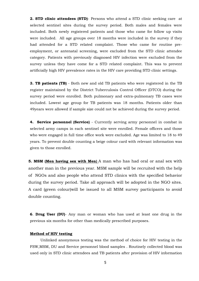**2. STD clinic attendees (STD)**- Persons who attend a STD clinic seeking care at selected sentinel sites during the survey period. Both males and females were included. Both newly registered patients and those who came for follow up visits were included. All age groups over 18 months were included in the survey if they had attended for a STD related complaint. Those who came for routine preemployment, or antenatal screening, were excluded from the STD clinic attendee category. Patients with previously diagnosed HIV infection were excluded from the survey unless they have come for a STD related complaint. This was to prevent artificially high HIV prevalence rates in the HIV care providing STD clinic settings.

**3. TB patients (TB)** - Both new and old TB patients who were registered in the TB register maintained by the District Tuberculosis Control Officer (DTCO) during the survey period were enrolled. Both pulmonary and extra-pulmonary TB cases were included. Lowest age group for TB patients was 18 months. Patients older than 49years were allowed if sample size could not be achieved during the survey period.

**4. Service personnel (Service)** - Currently serving army personnel in combat in selected army camps in each sentinel site were enrolled. Female officers and those who were engaged in full time office work were excluded. Age was limited to 18 to 49 years. To prevent double counting a beige colour card with relevant information was given to those enrolled.

**5. MSM (Men having sex with Men)** A man who has had oral or anal sex with another man in the previous year. MSM sample will be recruited with the help of NGOs and also people who attend STD clinics with the specified behavior during the survey period. Take all approach will be adopted in the NGO sites. A card (green colour)will be issued to all MSM survey participants to avoid double counting.

**6**. **Drug User (DU)**- Any man or woman who has used at least one drug in the previous six months for other than medically prescribed purposes.

## **Method of HIV testing**

Unlinked anonymous testing was the method of choice for HIV testing in the FSW,MSM, DU and Service personnel blood samples . Routinely collected blood was used only in STD clinic attendees and TB patients after provision of HIV information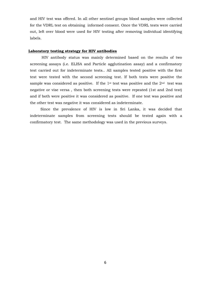and HIV test was offered. In all other sentinel groups blood samples were collected for the VDRL test on obtaining informed consent. Once the VDRL tests were carried out, left over blood were used for HIV testing after removing individual identifying labels.

## **Laboratory testing strategy for HIV antibodies**

HIV antibody status was mainly determined based on the results of two screening assays (i.e. ELISA and Particle agglutination assay) and a confirmatory test carried out for indeterminate tests.. All samples tested positive with the first test were tested with the second screening test. If both tests were positive the sample was considered as positive. If the 1<sup>st</sup> test was positive and the  $2<sup>nd</sup>$  test was negative or vise versa , then both screening tests were repeated (1st and 2nd test) and if both were positive it was considered as positive. If one test was positive and the other test was negative it was considered as indeterminate.

Since the prevalence of HIV is low in Sri Lanka, it was decided that indeterminate samples from screening tests should be tested again with a confirmatory test. The same methodology was used in the previous surveys.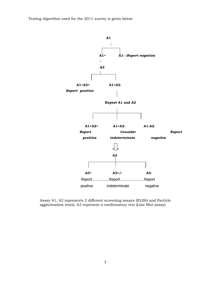Testing Algorithm used for the 2011 survey is given below.



Assay A1, A2 represents 2 different screening assays (ELISA and Particle agglutination tests). A3 represent a confirmatory test (Line Blot assay)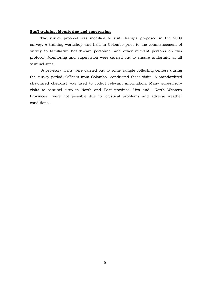## **Staff training, Monitoring and supervision**

The survey protocol was modified to suit changes proposed in the 2009 survey. A training workshop was held in Colombo prior to the commencement of survey to familiarize health-care personnel and other relevant persons on this protocol. Monitoring and supervision were carried out to ensure uniformity at all sentinel sites.

Supervisory visits were carried out to some sample collecting centers during the survey period. Officers from Colombo conducted these visits. A standardized structured checklist was used to collect relevant information. Many supervisory visits to sentinel sites in North and East province, Uva and North Western Provinces were not possible due to logistical problems and adverse weather conditions .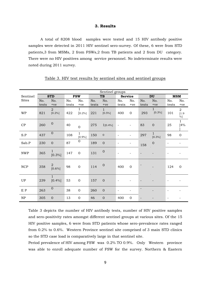## **3. Results**

A total of 8208 blood samples were tested and 15 HIV antibody positive samples were detected in 2011 HIV sentinel sero-survey. Of these, 6 were from STD patients,3 from MSMs, 2 from FSWs,2 from TB patients and 2 from DU category. There were no HIV positives among service personnel. No indeterminate results were noted during 2011 survey.

|                           |              |                               |              |                           |              | Sentinel groups          |                              |                          |              |                        |                          |                                   |
|---------------------------|--------------|-------------------------------|--------------|---------------------------|--------------|--------------------------|------------------------------|--------------------------|--------------|------------------------|--------------------------|-----------------------------------|
| Sentinel                  |              | <b>STD</b>                    |              | <b>FSW</b>                |              | TB                       | <b>Service</b>               |                          |              | DU                     | <b>MSM</b>               |                                   |
| <b>Sites</b>              | No.<br>tests | No.<br>$+ve$                  | No.<br>tests | No.<br>$+ {\rm ve}$       | No.<br>tests | No.<br>$+ve$             | No.<br>tests                 | No.<br>$+ve$             | No.<br>tests | No.<br>$+ve$           | No.<br>tests             | No.<br>$+ve$                      |
| <b>WP</b>                 | 821          | $\overline{2}$<br>[0.2%]      | 422          | $\mathbf{1}$<br>$[0.2\%]$ | 221          | $\mathbf 1$<br>$[0.5\%]$ | 400                          | $\overline{0}$           | 293          | 1<br>[0.3%]            | 101                      | $\overline{2}$<br>$[1.9]$<br>$\%$ |
| CP                        | 260          | $\boldsymbol{0}$              | 40           | $\overline{0}$            | 275          | 1[0.4%]                  | $\overline{\phantom{a}}$     | $\overline{\phantom{a}}$ | 83           | $\boldsymbol{0}$       | 25                       | $\mathbf{1}$<br>[4%               |
| S.P                       | 437          | $\boldsymbol{0}$              | 108          | $\mathbf{1}$<br>[0.9%]    | 150          | $\mathbf{0}$             | $\qquad \qquad \blacksquare$ |                          | 297          | $\mathbf{1}$<br>[0.3%] | 98                       | $\mathbf{0}$                      |
| Sab.P                     | 230          | $\mathbf{0}$                  | 87           | $\boldsymbol{0}$          | 189          | $\overline{0}$           | $\overline{\phantom{a}}$     |                          | 158          | $\mathbf{0}$           | $\overline{\phantom{a}}$ |                                   |
| <b>NWP</b>                | 365          | $\mathbf 1$<br>[0.3%]         | 147          | $\overline{0}$            | 131          | $\boldsymbol{0}$         |                              |                          |              |                        |                          |                                   |
| NCP                       | 358          | $\boldsymbol{2}$<br>$[0.6\%]$ | 98           | $\boldsymbol{0}$          | 114          | $\mathbf 0$              | 400                          | $\mathbf{0}$             |              |                        | 124                      | $\mathbf{0}$                      |
| UP                        | 239          | $\mathbf{1}$<br>$[0.4\%]$     | 53           | $\mathbf{0}$              | 157          | $\mathbf{0}$             |                              |                          |              |                        |                          |                                   |
| $\mathop{\hbox{\bf E}}$ P | 263          | $\boldsymbol{0}$              | 38           | $\mathbf 0$               | 260          | $\mathbf{0}$             | -                            |                          |              |                        |                          |                                   |
| NP                        | 305          | $\overline{0}$                | 13           | $\mathbf 0$               | 46           | $\mathbf{0}$             | 400                          | $\overline{0}$           |              |                        |                          |                                   |

## Table 3. HIV test results by sentinel sites and sentinel groups

Table 3 depicts the number of HIV antibody tests, number of HIV positive samples and sero-positivity rates amongst different sentinel groups at various sites. Of the 15 HIV positive samples, 6 were from STD patients whose sero-prevalence rates ranged from 0.2% to 0.6%. Western Province sentinel site comprised of 3 main STD clinics so the STD case load is comparatively large in that sentinel site.

Period prevalence of HIV among FSW was 0.2% TO 0.9%. Only Western province was able to enroll adequate number of FSW for the survey. Northern & Eastern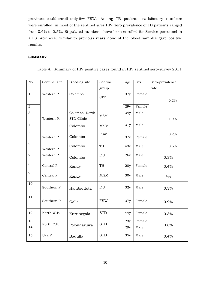provinces could enroll only few FSW. Among TB patients, satisfactory numbers were enrolled in most of the sentinel sires.HIV Sero prevalence of TB patients ranged from 0.4% to 0.5%. Stipulated numbers have been enrolled for Service personnel in all 3 provinces. Similar to previous years none of the blood samples gave positive results.

#### **SUMMARY**

### Table 4. Summary of HIV positive cases found in HIV sentinel sero-survey 2011.

| No.              | Sentinel site | <b>Bleeding</b> site | Sentinel                   | Age | Sex    | Sero-prevalence |
|------------------|---------------|----------------------|----------------------------|-----|--------|-----------------|
|                  |               |                      | group                      |     |        | rate            |
| 1.               | Western P.    | Colombo              |                            | 37y | Female |                 |
|                  |               |                      | <b>STD</b>                 |     |        | 0.2%            |
| 2.               |               |                      |                            | 29y | Female |                 |
| $\overline{3}$ . |               | Colombo-North        |                            | 34y | Male   |                 |
|                  | Western P.    | STD Clinic           | MSM                        |     |        | 1.9%            |
| 4.               |               |                      |                            | 31y | Male   |                 |
|                  |               | Colombo              | <b>MSM</b>                 |     |        |                 |
| $\overline{5}$ . |               | Colombo              | <b>FSW</b>                 |     |        | 0.2%            |
|                  | Western P.    |                      |                            | 37y | Female |                 |
| 6.               |               | Colombo              | TB                         | 43y | Male   | 0.5%            |
|                  | Western P.    |                      |                            |     |        |                 |
| 7.               | Western P.    | Colombo              | $\mathop{\rm DU}\nolimits$ | 26y | Male   | 0.3%            |
| 8.               | Central P.    | Kandy                | TB                         | 20y | Female | 0.4%            |
| 9.               | Central P.    |                      | <b>MSM</b>                 |     | Male   |                 |
|                  |               | Kandy                |                            | 30y |        | 4%              |
| 10.              |               |                      |                            |     |        |                 |
|                  | Southern P.   | Hambantota           | $\mathop{\rm DU}\nolimits$ | 32y | Male   | 0.3%            |
| 11.              |               |                      |                            |     |        |                 |
|                  | Southern P.   | Galle                | <b>FSW</b>                 | 37y | Female | 0.9%            |
|                  |               |                      |                            |     |        |                 |
| 12.              | North W.P.    | Kurunegala           | <b>STD</b>                 | 44y | Female | 0.3%            |
| 13.              | North C.P.    |                      | <b>STD</b>                 | 23y | Female |                 |
| 14.              |               | Polonnaruwa          |                            | 29y | Male   | 0.6%            |
| 15.              | Uva P.        | Badulla              | <b>STD</b>                 | 35y | Male   | 0.4%            |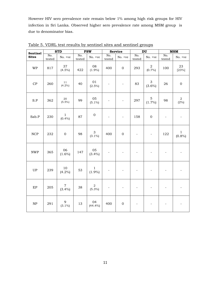However HIV sero prevalence rate remain below 1% among high risk groups for HIV infection in Sri Lanka. Observed higher sero prevalence rate among MSM group is due to denominator bias.

| Sentinel                    |               | <b>STD</b>                    |               | <b>FSW</b>                  |                          | <b>Service</b>           |                          | DU                          | <b>MSM</b>    |                          |  |
|-----------------------------|---------------|-------------------------------|---------------|-----------------------------|--------------------------|--------------------------|--------------------------|-----------------------------|---------------|--------------------------|--|
| <b>Sites</b>                | No.<br>tested | No. +ve                       | No.<br>tested | No. +ve                     | No.<br>tested            | No. +ve                  | No.<br>tested            | No. +ve                     | No.<br>tested | No. +ve                  |  |
| <b>WP</b>                   | 817           | 37<br>$(4.5\%)$               | 422           | 08<br>$(1.9\%)$             | 400                      | $\boldsymbol{0}$         | 293                      | $\overline{2}$<br>$(0.7\%)$ | 100           | 23<br>[23%]              |  |
| CP                          | 260           | $1\,1$<br>$(4.2\%)$           | 40            | 01<br>$(2.5\%)$             |                          |                          | 83                       | $\mathfrak{Z}$<br>$(3.6\%)$ | 26            | $\boldsymbol{0}$         |  |
| S.P                         | 362           | $20\,$<br>$(5.5\%)$           | 99            | 05<br>$(5.1\%)$             | $\overline{\phantom{a}}$ | $\overline{\phantom{a}}$ | 297                      | $\mathbf 5$<br>$(1.7\%)$    | 98            | $\,2\,$<br>(2%)          |  |
| Sab.P                       | 230           | $\mathbf{1}$<br>$(0.4\%)$     | 87            | $\boldsymbol{0}$            |                          | $\overline{\phantom{a}}$ | 158                      | $\mathbf 0$                 |               |                          |  |
| $\ensuremath{\mathsf{NCP}}$ | 232           | $\mathbf 0$                   | 98            | 3<br>$(3.1\%)$              | 400                      | $\boldsymbol{0}$         | $\overline{\phantom{a}}$ | $\overline{\phantom{a}}$    | 122           | $\mathbf 1$<br>$(0.8\%)$ |  |
| $\ensuremath{\text{NWP}}$   | 365           | 06<br>$(1.6\%)$               | 147           | 05<br>$(3.4\%)$             | $\overline{\phantom{a}}$ |                          | L,                       | $\overline{a}$              |               |                          |  |
| <b>UP</b>                   | 239           | $10\,$<br>$(4.2\%)$           | 53            | $\mathbf{1}$<br>$(1.9\%)$   | $\overline{\phantom{0}}$ |                          |                          |                             |               |                          |  |
| $\rm EP$                    | 205           | $\boldsymbol{7}$<br>$(3.4\%)$ | 38            | $\overline{a}$<br>$(5.3\%)$ |                          |                          | $\overline{a}$           |                             |               |                          |  |
| NP                          | 291           | 9<br>$(3.1\%)$                | 13            | 04<br>(44.4%)               | 400                      | $\boldsymbol{0}$         | $\overline{\phantom{a}}$ |                             |               |                          |  |

Table 5. VDRL test results by sentinel sites and sentinel groups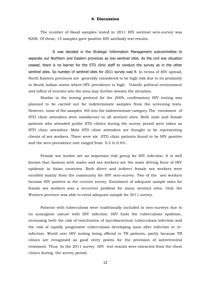#### **4. Discussion**

The number of blood samples tested in 2011 HIV sentinel sero-survey was 8208. Of these, 15 samples gave positive HIV antibody test results.

It was decided in the Strategic Information Management subcommittee to separate out Northern and Eastern provinces as two sentinel sites. As the civil war situation ceased, there is no barrier for the STD clinic staff to conduct the survey as in the other sentinel sites. So number of sentinel sites for 2011 survey was 9. In terms of HIV spread, North Eastern provinces are generally considered to be high risk due to its proximity to South Indian states where HIV prevalence is high. Volatile political environment and influx of tourists into the area may further worsen the situation.

Similar to the testing protocol for the 2009, confirmatory HIV testing was planned to be carried out for indeterminate samples from the screening tests. However, none of the samples fell into the indeterminate category.The enrolment of STD clinic attendees were satisfactory in all sentinel sites. Both male and female patients who attended public STD clinics during the survey period were taken as STD clinic attendees. Male STD clinic attendees are thought to be representing clients of sex workers. There were six STD clinic patients found to be HIV positive and the sero-prevalence rate ranged from 0.2 to 0.6% .

Female sex worker are an important risk group for HIV infection. It is well known that liaisons with males and sex workers are the main driving force of HIV epidemic in Asian countries. Both direct and indirect female sex workers were enrolled mainly from the community for HIV sero-survey. Two of the sex workers became HIV positive in the current survey. Enrolment of adequate sample sizes for female sex workers was a recurrent problem for many sentinel sites. Only the Western province was able to enrol adequate sample for 2011 survey.

Patients with tuberculosis were traditionally included in sero-surveys due to its synergistic nature with HIV infection. HIV fuels the tuberculosis epidemic, increasing both the risk of reactivation of mycobacterium tuberculosis infection and the risk of rapidly progressive tuberculosis developing soon after infection or reinfection. World over HIV testing being offered to TB patients, partly because TB clinics are recognised as good entry points for the provision of antiretroviral treatment. Thus In the 2011 survey HIV test results were extracted from the chest clinics during the survey period.

12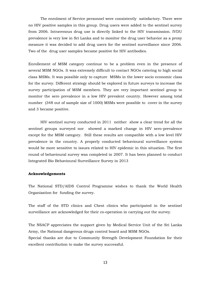The enrolment of Service personnel were consistently satisfactory. There were no HIV positive samples in this group. Drug users were added to the sentinel survey from 2006. Intravenous drug use is directly linked to the HIV transmission. IVDU prevalence is very low in Sri Lanka and to monitor the drug user behavior as a proxy measure it was decided to add drug users for the sentinel surveillance since 2006. Two of the drug user samples became positive for HIV antibodies.

Enrollement of MSM category continue to be a problem even in the presence of several MSM NGOs. It was extremely difficult to contact NGOs catering to high social class MSMs. It was possible only to capture MSMs in the lower socio economic class for the survey. Different strategy should be explored in future surveys to increase the survey participation of MSM members. They are very important sentinel group to monitor the sero prevalence in a low HIV prevalent country. However among total number (348 out of sample size of 1000) MSMs were possible to cover in the survey and 3 became positive.

HIV sentinel survey conducted in 2011 neither show a clear trend for all the sentinel groups surveyed nor showed a marked change in HIV sero-prevalence except for the MSM category. Still these results are compatible with a low level HIV prevalence in the country. A properly conducted behavioural surveillance system would be more sensitive to issues related to HIV epidemic in this situation. The first round of behavioural survey was completed in 2007. It has been planned to conduct Integrated Bio Behavioural Surveillance Survey in 2013

## **Acknowledgements**

The National STD/AIDS Control Programme wishes to thank the World Health Organization for funding the survey.

The staff of the STD clinics and Chest clinics who participated in the sentinel surveillance are acknowledged for their co-operation in carrying out the survey.

The NSACP appreciates the support given by Medical Service Unit of the Sri Lanka Army, the National dangerous drugs control board and MSM NGOs.

Special thanks are due to Community Strength Development Foundation for their excellent contribution to make the survey successful.

13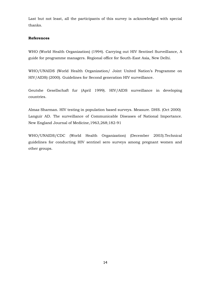Last but not least, all the participants of this survey is acknowledged with special thanks.

## **References**

WHO (World Health Organization) (1994). Carrying out HIV Sentinel Surveillance, A guide for programme managers. Regional office for South-East Asia, New Delhi.

WHO/UNAIDS (World Health Organization/ Joint United Nation's Programme on HIV/AIDS) (2000). Guidelines for Second generation HIV surveillance.

Geutshe Gesellschaft fur (April 1999). HIV/AIDS surveillance in developing countries.

Almaz Sharman. HIV testing in population based surveys. Measure. DHS. (Oct 2000) Languir AD. The surveillance of Communicable Diseases of National Importance. New England Journal of Medicine,1963,268;182-91

WHO/UNAIDS/CDC (World Health Organization) (December 2003).Technical guidelines for conducting HIV sentinel sero surveys among pregnant women and other groups.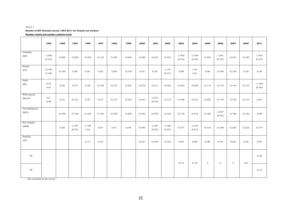#### Annex 1

#### **Results of HIV Sentinel survey 1993-2011 for Female sex workers**

**Number tested and number positive (rate)**

|                                 | 1993               | 1994                     | 1995                     | 1996          | 1997                     | 1998   | 1999   | 2000   | 2001               | 2002               | 2003               | 2004               | 2005     | 2006               | 2007             | 2009  | 2011               |
|---------------------------------|--------------------|--------------------------|--------------------------|---------------|--------------------------|--------|--------|--------|--------------------|--------------------|--------------------|--------------------|----------|--------------------|------------------|-------|--------------------|
| Colombo<br>(WP)                 | 1/200<br>$(0.5\%)$ | 0/200                    | 0/200                    | 0/100         | 0/110                    | 0/407  | 0/654  | 0/286  | 0/243              | 0/424              | 1/405<br>$(0.2\%)$ | 1/439<br>$(0.2\%)$ | 0/325    | 1/381<br>$(0.3\%)$ | 0/421            | 0/339 | 1/422<br>(0.2%)    |
| Kandy<br>(CP)                   | 0/100<br>0/100     | 0/100                    | 0/80                     | 0/41          | 0/82                     | 0/86   | 0/105  | 0/70   | 0/55               | 1/147<br>$(0.7\%)$ | 0/88               | 1/97<br>(1%)       | 0/66     | 0/106              | 0//58            | 0/39  | 0/40               |
| Galle<br>(SP)                   | 0/23<br>0/8        | 0/26                     | 0/79                     | 0/95          | 0/100                    | 0/191  | 0/291  | 0/279  | 0/211              | 0/242              | 0/245              | 0/209              | 0/116    | 0/175              | 0/144            | 0/119 | 1/108<br>$(0.9\%)$ |
| Rathnapura<br>(Sab.P)           | 0/7<br>0/46        | 0/27                     | 0/101                    | 0/57          | 0/47                     | 0/174  | 0/245  | 0/341  | 1/213<br>$(0.5\%)$ | 0/118              | 0/188              | 0/212              | 0/225    | 0/179              | 0/150            | 0/110 | 0/87               |
| Anuradhapura<br>(NCP)           | $\sim$             | 0/100                    | 0/100                    | 0/100         | 0/100                    | 0/250  | 0/290  | 0/342  | 0/250              | 0/192              | 0/170              | 0/216              | 0/182    | 1/227<br>$(0.4\%)$ | 0/180            | 0/162 | 0/98               |
| Kurunegala<br>(NWP)             | $\sim$             | 0/30                     | 1/187<br>$(0.5\%)$       | 1/100<br>(1%) | 0/67                     | 0/41   | 0/40   | 0/593  | 1/187<br>$(0.5\%)$ | 1/320<br>$(0.3\%)$ | 0/277              | 1/219<br>$(0.5\%)$ | 0/133    | 0/108              | 0/203            | 0/222 | 0/147              |
| Badulla<br>(UP)                 | ٠                  | $\overline{\phantom{a}}$ | $\overline{\phantom{a}}$ | 0/17          | 0/43                     | $\sim$ | $\sim$ | 0/251  | 0/250              | 0/105              | 0/84               | 0/86               | 0/89     | 0/40               | 0/62             | 0/36  | 0/53               |
| $\rm EP$                        | $\sim$             | $\sim$                   | $\overline{\phantom{a}}$ | $\sim$        | $\overline{\phantom{a}}$ | $\sim$ | $\sim$ | $\sim$ | $\sim$             | $\sim$             | 0/13               | 0/19               | $\bf{0}$ | $\bf{0}$           | $\boldsymbol{0}$ | 0/6   | 0/38               |
| $\ensuremath{\text{NP}}\xspace$ |                    |                          |                          |               |                          |        |        |        |                    |                    |                    |                    |          |                    |                  |       | 0/13               |

- Not included in the survey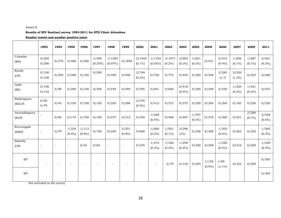#### Annex II

#### **Results of HIV Sentinel survey 1993-2011 for STD Clinic Attendees**

#### **Number tested and number positive (rate)**

|                       | 1993                     | 1994           | 1995               | 1996           | 1997             | 1998                 | 1999               | 2000                | 2001                 | 2002                | 2003               | 2004               | 2005            | 2006               | 2007               | 2009               | 2011               |
|-----------------------|--------------------------|----------------|--------------------|----------------|------------------|----------------------|--------------------|---------------------|----------------------|---------------------|--------------------|--------------------|-----------------|--------------------|--------------------|--------------------|--------------------|
| Colombo<br>(WP)       | 0/205<br>0/200           | 0/376          | 0/400              | 0/200          | 1/400<br>(0.25%) | 1/1385<br>$(0.07\%)$ | 0/1849             | 2/1448<br>$(0.1\%)$ | 1/1702<br>$(0.05\%)$ | 3/1577<br>$(0.2\%)$ | 2/602<br>$(0.3\%)$ | 1/621<br>$(0.2\%)$ | 0/531           | 2/515<br>(0.4%     | 1/656<br>$(0.1\%)$ | 1/687<br>$(0.1\%)$ | 2/821<br>$(0.2\%)$ |
| Kandy<br>(CP)         | 0/100<br>0/100           | 0/200          | 0/200              | 0/100          | 0/200            | 0/250                | 0/556              | 2/749<br>$(0.3\%)$  | 0/700                | 0/775               | 0/445              | 0/302              | 0/248           | 3/283<br>(1.1)     | 3/250<br>$(1.2\%)$ | 0/253              | 0/260              |
| Galle<br>(SP)         | 0/198<br>0/133           | 0/98           | 0/200              | 0/100          | 0/200            | 0/449                | 0/494              | 0/595               | 0/801                | 0/668               | 2/410<br>$(0.5\%)$ | 0/250              | 0/249           | 0/250              | 1/320<br>$(0.3\%)$ | 1/451<br>$(0.2\%)$ | 0/437              |
| Rathnapura<br>(Sab.P) | 0/50<br>0/79             | 0/43           | 0/103              | 0/100          | 0/185            | 0/250                | 0/286              | 2/375<br>$(0.5\%)$  | 0/412                | 0/372               | 0/275              | 0/250              | 0/284           | 0/264              | 0/183              | 0/256              | 0/230              |
| Anuradhapura<br>(NCP) |                          | 0/96           | 0/174              | 0/100          | 0/100            | 0/275                | 0/313              | 0/349               | 1/268<br>$(0.4\%)$   | 0/488               | 0/407              | 1/357<br>$(0.3\%)$ | 0/278           | 0/260              | 0/351              | 2/296<br>(0.7%     | 2/358<br>$(0.6\%)$ |
| Kurunegala<br>(NWP)   | $\overline{\phantom{a}}$ | 0/79           | 1/234<br>$(0.4\%)$ | 1/113<br>(0.9% | 0/100            | 0/250                | 2/251<br>$(0.8\%)$ | 0/668               | 1/680<br>$(0.2\%)$   | 1/951<br>$(0.1\%)$  | 3/296<br>$(1\%)$   | 0/328              | 0/308           | 1/305<br>$(0.4\%)$ | 0/263              | 0/256              | 1/365<br>$(0.3\%)$ |
| Badulla<br>(UP)       | $\overline{\phantom{a}}$ | $\blacksquare$ | $\blacksquare$     | 0/34           | 0/62             | $\equiv$             | $\sim$             | 0/276               | 1/374<br>$(0.3\%)$   | 1/326<br>$(0.3\%)$  | 1/250<br>(0.4%     | 0/250              | 0/248           | 1/250<br>$(0.4\%)$ | 0/216              | 0/250              | 1/239<br>$(0.4\%)$ |
| EP                    |                          |                |                    |                |                  |                      |                    |                     | $\sim$               | 0/79                | 0/134              | 0/244              | 1/126<br>[0.9%] | 1/89<br>$(1.1\%)$  | 0/222              | 0/299              | 0/263              |
| NP                    |                          |                |                    |                |                  |                      |                    |                     |                      |                     |                    |                    |                 |                    |                    |                    | 0/305              |

- Not included in the survey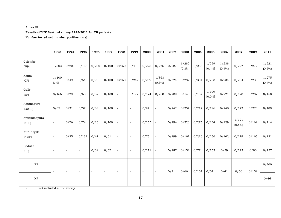#### Annex III

#### **Results of HIV Sentinel survey 1993-2011 for TB patients**

#### **Number tested and number positive (rate)**

|                                   | 1993                     | 1994                     | 1995           | 1996   | 1997   | 1998                     | 1999                     | 2000   | 2001                     | 2002  | 2003               | 2004  | 2005            | 2006               | 2007               | 2009  | 2011               |
|-----------------------------------|--------------------------|--------------------------|----------------|--------|--------|--------------------------|--------------------------|--------|--------------------------|-------|--------------------|-------|-----------------|--------------------|--------------------|-------|--------------------|
| Colombo<br>(WP)                   | 1/303                    | 0/200                    | 0/155          | 0/200  | 0/100  | 0/250                    | 0/413                    | 0/223  | 0/276                    | 0/287 | 1/282<br>$(0.3\%)$ | 0/256 | 1/259<br>[0.4%] | 1/238<br>$(0.4\%)$ | 0/227              | 0/272 | 1/221<br>$(0.5\%)$ |
| Kandy<br>(CP)                     | 1/100<br>$(1\%)$         | 0/49                     | 0/54           | 0/93   | 0/100  | 0/250                    | 0/242                    | 0/269  | 1/363<br>$(0.3\%)$       | 0/324 | 0/282              | 0/304 | 0/258           | 0/234              | 0/204              | 0/230 | 1/275<br>$(0.4\%)$ |
| Galle<br>(SP)                     | 0/166                    | 0/29                     | 0/63           | 0/52   | 0/100  | $\blacksquare$           | 0/177                    | 0/174  | 0/250                    | 0/289 | 0/143              | 0/152 | 1/109<br>[0.9%] | 0/221              | 0/120              | 0/207 | 0/150              |
| Rathnapura<br>(Sab.P)             | 0/65                     | 0/31                     | 0/57           | 0/88   | 0/100  | $\overline{\phantom{0}}$ | $\overline{\phantom{a}}$ | 0/94   | $\overline{\phantom{a}}$ | 0/242 | 0/254              | 0/212 | 0/196           | 0/248              | 0/173              | 0/270 | 0/189              |
| Anuradhapura<br>(NCP)             | ÷,                       | 0/76                     | 0/74           | 0/26   | 0/100  | $\overline{\phantom{a}}$ | $\blacksquare$           | 0/165  | $\blacksquare$           | 0/194 | 0/220              | 0/275 | 0/234           | 0/129              | 1/121<br>$(0.8\%)$ | 0/164 | 0/114              |
| Kurunegala<br>(NWP)               | $\overline{\phantom{a}}$ | 0/35                     | 0/134          | 0/47   | 0/61   |                          | $\blacksquare$           | 0/75   | $\overline{\phantom{a}}$ | 0/199 | 0/167              | 0/216 | 0/256           | 0/162              | 0/179              | 0/165 | 0/131              |
| Badulla<br>(UP)                   | $\overline{\phantom{a}}$ | $\overline{\phantom{a}}$ | $\blacksquare$ | 0/39   | 0/67   | $\blacksquare$           | $\overline{\phantom{a}}$ | 0/111  | $\overline{\phantom{a}}$ | 0/187 | 0/152              | 0/77  | 0/152           | 0/59               | 0/143              | 0/80  | 0/157              |
| $\rm EP$                          | $\sim$                   | $\sim$                   | $\sim$         | $\sim$ | $\sim$ | $\sim$                   | $\sim$                   | $\sim$ | $\overline{\phantom{a}}$ | 0/2   | 0/66               | 0/164 | 0/64            | 0/41               | 0/66               | 0/159 | 0/260              |
| $\ensuremath{\mathsf{NP}}\xspace$ |                          |                          |                |        |        |                          |                          |        |                          |       |                    |       |                 |                    |                    |       | 0/46               |

- Not included in the survey